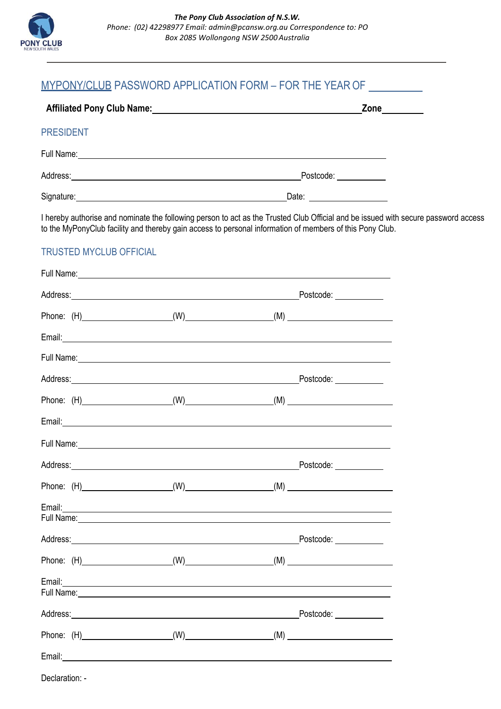

## MYPONY/CLUB PASSWORD APPLICATION FORM – FOR THE YEAR OF

| <b>Affiliated Pony Club Name:</b> | Zone      |  |
|-----------------------------------|-----------|--|
| <b>PRESIDENT</b>                  |           |  |
| Full Name:                        |           |  |
| Address:                          | Postcode: |  |
| Signature:                        | Date:     |  |

I hereby authorise and nominate the following person to act as the Trusted Club Official and be issued with secure password access to the MyPonyClub facility and thereby gain access to personal information of members of this Pony Club.

## TRUSTED MYCLUB OFFICIAL

| Full Name:                                                                                                                                                                                                                           |  |           |
|--------------------------------------------------------------------------------------------------------------------------------------------------------------------------------------------------------------------------------------|--|-----------|
|                                                                                                                                                                                                                                      |  | Postcode: |
|                                                                                                                                                                                                                                      |  |           |
|                                                                                                                                                                                                                                      |  |           |
|                                                                                                                                                                                                                                      |  |           |
| Address: <u>with a series of the series of the series of the series of the series of the series of the series of the series of the series of the series of the series of the series of the series of the series of the series of</u> |  | Postcode: |
|                                                                                                                                                                                                                                      |  |           |
|                                                                                                                                                                                                                                      |  |           |
|                                                                                                                                                                                                                                      |  |           |
| Address: Postcode: Postcode:                                                                                                                                                                                                         |  |           |
|                                                                                                                                                                                                                                      |  |           |
| Full Name: <u>Contract Communication</u>                                                                                                                                                                                             |  |           |
| Address: Postcode: Postcode:                                                                                                                                                                                                         |  |           |
|                                                                                                                                                                                                                                      |  |           |
| Full Name: <u>Contract Communication</u> Contract Communication Communication Communication Communication Communication                                                                                                              |  |           |
|                                                                                                                                                                                                                                      |  |           |
|                                                                                                                                                                                                                                      |  |           |
|                                                                                                                                                                                                                                      |  |           |

Declaration: -